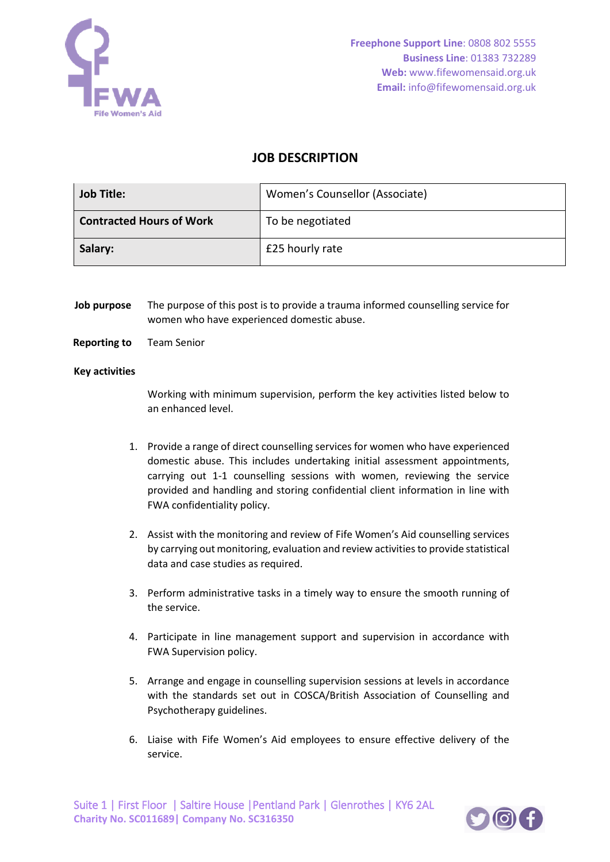

# **JOB DESCRIPTION**

| <b>Job Title:</b>               | Women's Counsellor (Associate) |
|---------------------------------|--------------------------------|
| <b>Contracted Hours of Work</b> | To be negotiated               |
| Salary:                         | £25 hourly rate                |

**Job purpose** The purpose of this post is to provide a trauma informed counselling service for women who have experienced domestic abuse.

### **Reporting to** Team Senior

#### **Key activities**

Working with minimum supervision, perform the key activities listed below to an enhanced level.

- 1. Provide a range of direct counselling services for women who have experienced domestic abuse. This includes undertaking initial assessment appointments, carrying out 1-1 counselling sessions with women, reviewing the service provided and handling and storing confidential client information in line with FWA confidentiality policy.
- 2. Assist with the monitoring and review of Fife Women's Aid counselling services by carrying out monitoring, evaluation and review activities to provide statistical data and case studies as required.
- 3. Perform administrative tasks in a timely way to ensure the smooth running of the service.
- 4. Participate in line management support and supervision in accordance with FWA Supervision policy.
- 5. Arrange and engage in counselling supervision sessions at levels in accordance with the standards set out in COSCA/British Association of Counselling and Psychotherapy guidelines.
- 6. Liaise with Fife Women's Aid employees to ensure effective delivery of the service.

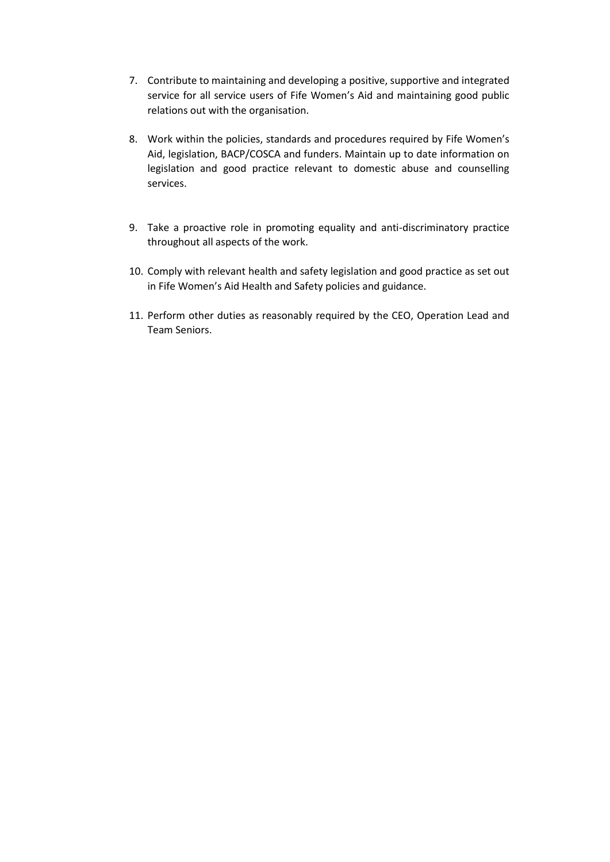- 7. Contribute to maintaining and developing a positive, supportive and integrated service for all service users of Fife Women's Aid and maintaining good public relations out with the organisation.
- 8. Work within the policies, standards and procedures required by Fife Women's Aid, legislation, BACP/COSCA and funders. Maintain up to date information on legislation and good practice relevant to domestic abuse and counselling services.
- 9. Take a proactive role in promoting equality and anti-discriminatory practice throughout all aspects of the work.
- 10. Comply with relevant health and safety legislation and good practice as set out in Fife Women's Aid Health and Safety policies and guidance.
- 11. Perform other duties as reasonably required by the CEO, Operation Lead and Team Seniors.